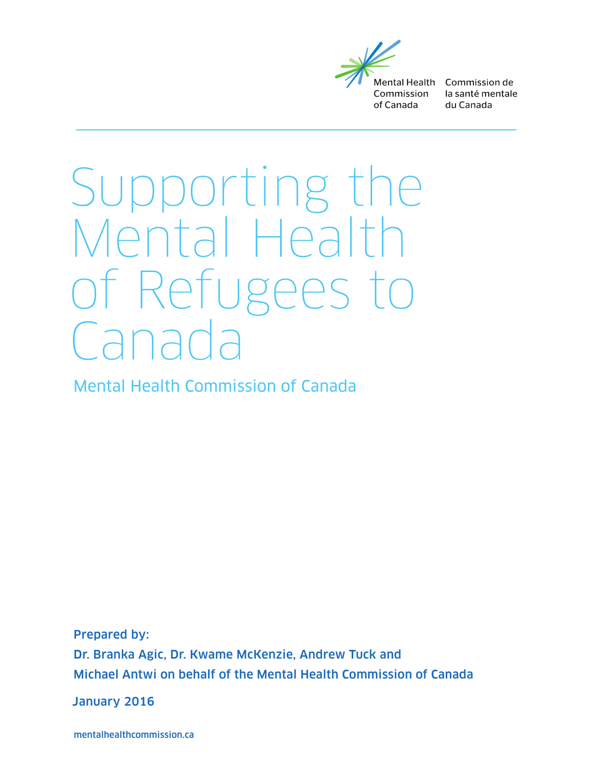

Mental Health Commission de la santé mentale du Canada

# Supporting the Mental Health of Refugees to  $\overline{a}$

Mental Health Commission of Canada

Prepared by: Dr. Branka Agic, Dr. Kwame McKenzie, Andrew Tuck and Michael Antwi on behalf of the Mental Health Commission of Canada

January 2016

mentalhealthcommission.ca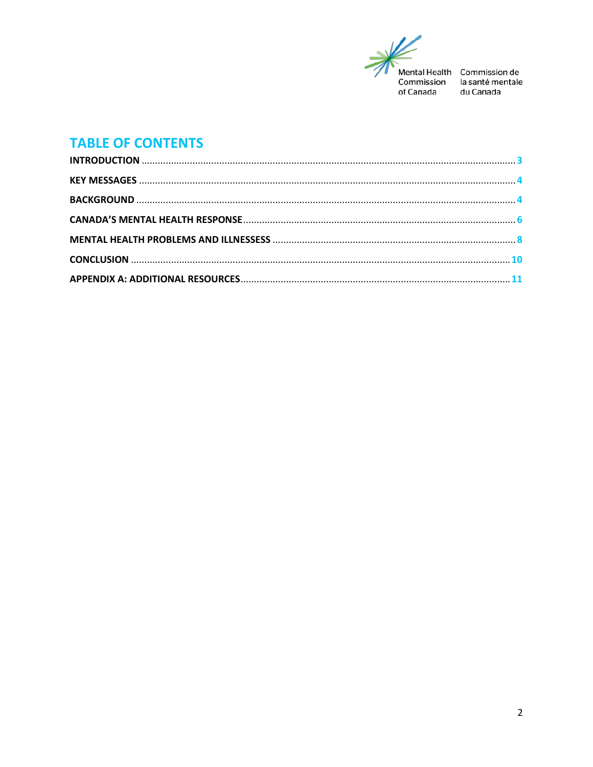

du Canada

# **TABLE OF CONTENTS**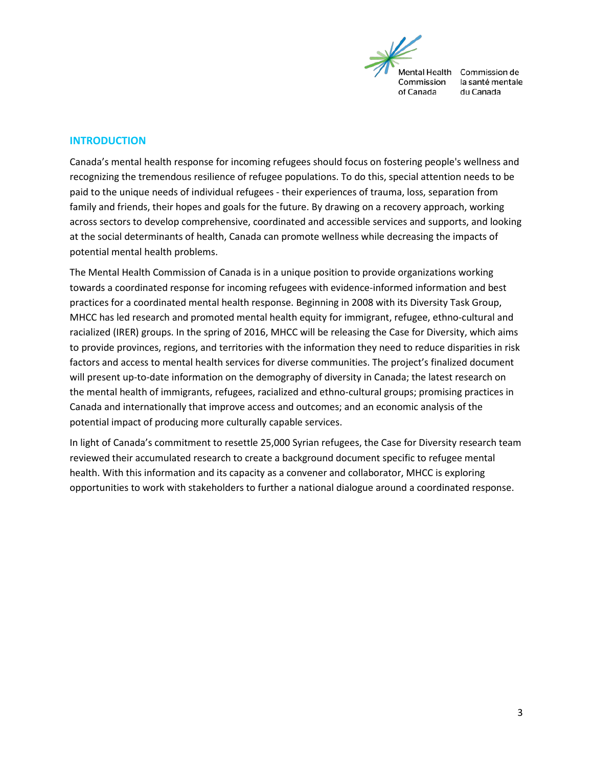

### <span id="page-2-0"></span>**INTRODUCTION**

Canada's mental health response for incoming refugees should focus on fostering people's wellness and recognizing the tremendous resilience of refugee populations. To do this, special attention needs to be paid to the unique needs of individual refugees - their experiences of trauma, loss, separation from family and friends, their hopes and goals for the future. By drawing on a recovery approach, working across sectors to develop comprehensive, coordinated and accessible services and supports, and looking at the social determinants of health, Canada can promote wellness while decreasing the impacts of potential mental health problems.

The Mental Health Commission of Canada is in a unique position to provide organizations working towards a coordinated response for incoming refugees with evidence-informed information and best practices for a coordinated mental health response. Beginning in 2008 with its Diversity Task Group, MHCC has led research and promoted mental health equity for immigrant, refugee, ethno-cultural and racialized (IRER) groups. In the spring of 2016, MHCC will be releasing the Case for Diversity, which aims to provide provinces, regions, and territories with the information they need to reduce disparities in risk factors and access to mental health services for diverse communities. The project's finalized document will present up-to-date information on the demography of diversity in Canada; the latest research on the mental health of immigrants, refugees, racialized and ethno-cultural groups; promising practices in Canada and internationally that improve access and outcomes; and an economic analysis of the potential impact of producing more culturally capable services.

In light of Canada's commitment to resettle 25,000 Syrian refugees, the Case for Diversity research team reviewed their accumulated research to create a background document specific to refugee mental health. With this information and its capacity as a convener and collaborator, MHCC is exploring opportunities to work with stakeholders to further a national dialogue around a coordinated response.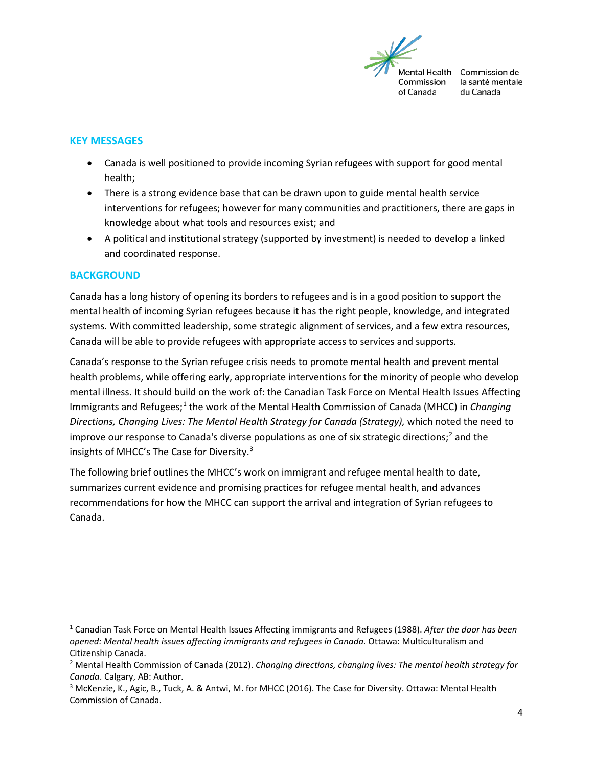

### <span id="page-3-0"></span>**KEY MESSAGES**

- Canada is well positioned to provide incoming Syrian refugees with support for good mental health;
- There is a strong evidence base that can be drawn upon to guide mental health service interventions for refugees; however for many communities and practitioners, there are gaps in knowledge about what tools and resources exist; and
- A political and institutional strategy (supported by investment) is needed to develop a linked and coordinated response.

#### <span id="page-3-1"></span>**BACKGROUND**

Canada has a long history of opening its borders to refugees and is in a good position to support the mental health of incoming Syrian refugees because it has the right people, knowledge, and integrated systems. With committed leadership, some strategic alignment of services, and a few extra resources, Canada will be able to provide refugees with appropriate access to services and supports.

Canada's response to the Syrian refugee crisis needs to promote mental health and prevent mental health problems, while offering early, appropriate interventions for the minority of people who develop mental illness. It should build on the work of: the Canadian Task Force on Mental Health Issues Affecting Immigrants and Refugees; [1](#page-3-2) the work of the Mental Health Commission of Canada (MHCC) in *Changing Directions, Changing Lives: The Mental Health Strategy for Canada (Strategy),* which noted the need to improve our response to Canada's diverse populations as one of six strategic directions; [2](#page-3-3) and the insights of MHCC's The Case for Diversity.<sup>[3](#page-3-4)</sup>

The following brief outlines the MHCC's work on immigrant and refugee mental health to date, summarizes current evidence and promising practices for refugee mental health, and advances recommendations for how the MHCC can support the arrival and integration of Syrian refugees to Canada.

<span id="page-3-2"></span> <sup>1</sup> Canadian Task Force on Mental Health Issues Affecting immigrants and Refugees (1988). *After the door has been opened: Mental health issues affecting immigrants and refugees in Canada.* Ottawa: Multiculturalism and Citizenship Canada.

<span id="page-3-3"></span><sup>2</sup> Mental Health Commission of Canada (2012). *Changing directions, changing lives: The mental health strategy for Canada*. Calgary, AB: Author.

<span id="page-3-4"></span><sup>&</sup>lt;sup>3</sup> McKenzie, K., Agic, B., Tuck, A. & Antwi, M. for MHCC (2016). The Case for Diversity. Ottawa: Mental Health Commission of Canada.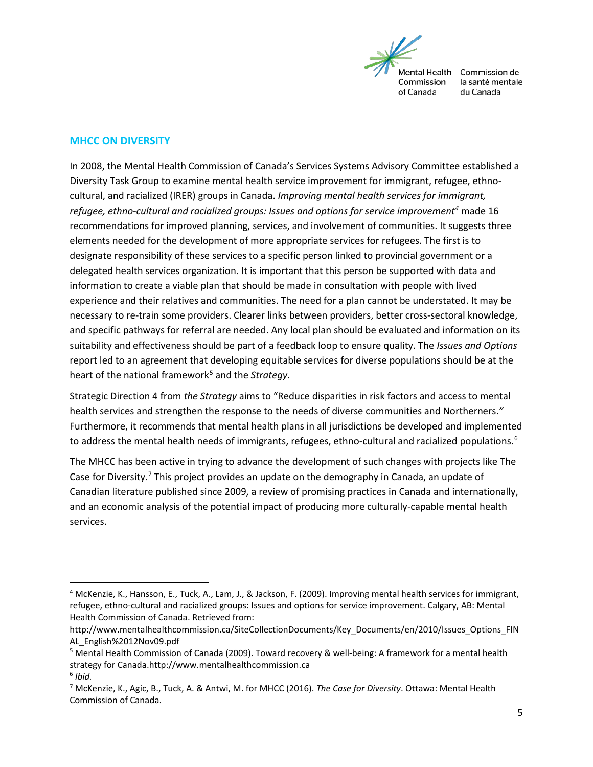

la santé mentale du Canada

# **MHCC ON DIVERSITY**

In 2008, the Mental Health Commission of Canada's Services Systems Advisory Committee established a Diversity Task Group to examine mental health service improvement for immigrant, refugee, ethnocultural, and racialized (IRER) groups in Canada. *Improving mental health services for immigrant, refugee, ethno-cultural and racialized groups: Issues and options for service improvement[4](#page-4-0)* made 16 recommendations for improved planning, services, and involvement of communities. It suggests three elements needed for the development of more appropriate services for refugees. The first is to designate responsibility of these services to a specific person linked to provincial government or a delegated health services organization. It is important that this person be supported with data and information to create a viable plan that should be made in consultation with people with lived experience and their relatives and communities. The need for a plan cannot be understated. It may be necessary to re-train some providers. Clearer links between providers, better cross-sectoral knowledge, and specific pathways for referral are needed. Any local plan should be evaluated and information on its suitability and effectiveness should be part of a feedback loop to ensure quality. The *Issues and Options* report led to an agreement that developing equitable services for diverse populations should be at the heart of the national framework<sup>5</sup> and the *Strategy*.

Strategic Direction 4 from *the Strategy* aims to "Reduce disparities in risk factors and access to mental health services and strengthen the response to the needs of diverse communities and Northerners.*"* Furthermore, it recommends that mental health plans in all jurisdictions be developed and implemented to address the mental health needs of immigrants, refugees, ethno-cultural and racialized populations.<sup>[6](#page-4-2)</sup>

The MHCC has been active in trying to advance the development of such changes with projects like The Case for Diversity.<sup>[7](#page-4-3)</sup> This project provides an update on the demography in Canada, an update of Canadian literature published since 2009, a review of promising practices in Canada and internationally, and an economic analysis of the potential impact of producing more culturally-capable mental health services.

<span id="page-4-0"></span> <sup>4</sup> McKenzie, K., Hansson, E., Tuck, A., Lam, J., & Jackson, F. (2009). Improving mental health services for immigrant, refugee, ethno-cultural and racialized groups: Issues and options for service improvement. Calgary, AB: Mental Health Commission of Canada. Retrieved from:

http://www.mentalhealthcommission.ca/SiteCollectionDocuments/Key\_Documents/en/2010/Issues\_Options\_FIN AL\_English%2012Nov09.pdf

<span id="page-4-1"></span><sup>5</sup> Mental Health Commission of Canada (2009). Toward recovery & well-being: A framework for a mental health strategy for Canada.http://www.mentalhealthcommission.ca

<span id="page-4-2"></span><sup>6</sup> *Ibid.* 

<span id="page-4-3"></span><sup>7</sup> McKenzie, K., Agic, B., Tuck, A. & Antwi, M. for MHCC (2016). *The Case for Diversity*. Ottawa: Mental Health Commission of Canada.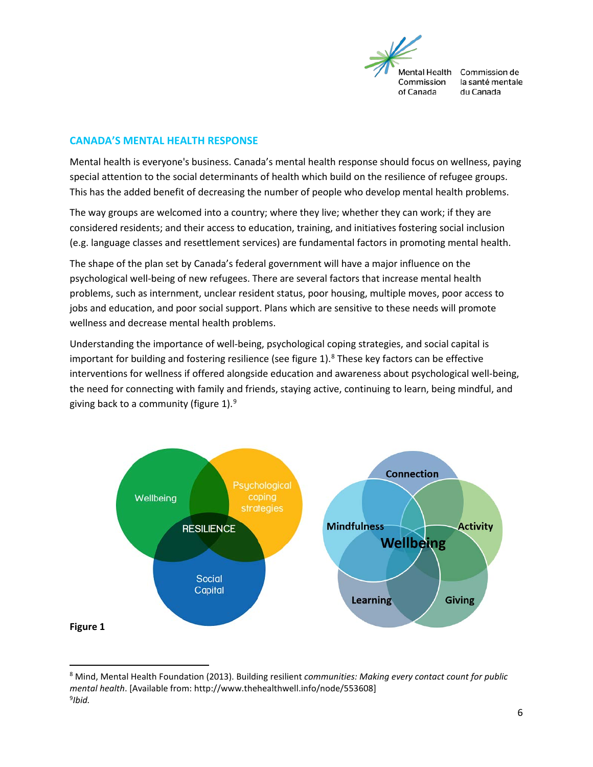

# <span id="page-5-0"></span>**CANADA'S MENTAL HEALTH RESPONSE**

Mental health is everyone's business. Canada's mental health response should focus on wellness, paying special attention to the social determinants of health which build on the resilience of refugee groups. This has the added benefit of decreasing the number of people who develop mental health problems.

The way groups are welcomed into a country; where they live; whether they can work; if they are considered residents; and their access to education, training, and initiatives fostering social inclusion (e.g. language classes and resettlement services) are fundamental factors in promoting mental health.

The shape of the plan set by Canada's federal government will have a major influence on the psychological well-being of new refugees. There are several factors that increase mental health problems, such as internment, unclear resident status, poor housing, multiple moves, poor access to jobs and education, and poor social support. Plans which are sensitive to these needs will promote wellness and decrease mental health problems.

Understanding the importance of well-being, psychological coping strategies, and social capital is important for building and fostering resilience (see figure  $1$ ).<sup>[8](#page-5-1)</sup> These key factors can be effective interventions for wellness if offered alongside education and awareness about psychological well-being, the need for connecting with family and friends, staying active, continuing to learn, being mindful, and giving back to a community (figure 1).<sup>[9](#page-5-2)</sup>



<span id="page-5-2"></span><span id="page-5-1"></span> <sup>8</sup> Mind, Mental Health Foundation (2013). Building resilient *communities: Making every contact count for public mental health*. [Available from: http://www.thehealthwell.info/node/553608] 9 *Ibid.*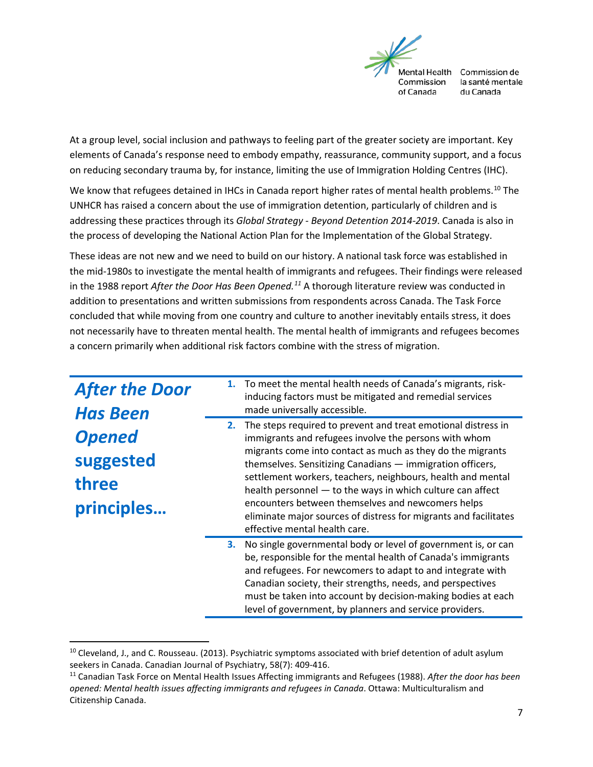

At a group level, social inclusion and pathways to feeling part of the greater society are important. Key elements of Canada's response need to embody empathy, reassurance, community support, and a focus on reducing secondary trauma by, for instance, limiting the use of Immigration Holding Centres (IHC).

We know that refugees detained in IHCs in Canada report higher rates of mental health problems.<sup>[10](#page-6-0)</sup> The UNHCR has raised a concern about the use of immigration detention, particularly of children and is addressing these practices through its *Global Strategy - Beyond Detention 2014-2019*. Canada is also in the process of developing the National Action Plan for the Implementation of the Global Strategy.

These ideas are not new and we need to build on our history. A national task force was established in the mid-1980s to investigate the mental health of immigrants and refugees. Their findings were released in the 1988 report *After the Door Has Been Opened. [11](#page-6-1)* A thorough literature review was conducted in addition to presentations and written submissions from respondents across Canada. The Task Force concluded that while moving from one country and culture to another inevitably entails stress, it does not necessarily have to threaten mental health. The mental health of immigrants and refugees becomes a concern primarily when additional risk factors combine with the stress of migration.

| <b>After the Door</b><br><b>Has Been</b><br><b>Opened</b><br>suggested<br>three<br>principles | 2. | 1. To meet the mental health needs of Canada's migrants, risk-<br>inducing factors must be mitigated and remedial services<br>made universally accessible.<br>The steps required to prevent and treat emotional distress in<br>immigrants and refugees involve the persons with whom<br>migrants come into contact as much as they do the migrants<br>themselves. Sensitizing Canadians - immigration officers,<br>settlement workers, teachers, neighbours, health and mental<br>health personnel - to the ways in which culture can affect<br>encounters between themselves and newcomers helps<br>eliminate major sources of distress for migrants and facilitates |
|-----------------------------------------------------------------------------------------------|----|-----------------------------------------------------------------------------------------------------------------------------------------------------------------------------------------------------------------------------------------------------------------------------------------------------------------------------------------------------------------------------------------------------------------------------------------------------------------------------------------------------------------------------------------------------------------------------------------------------------------------------------------------------------------------|
|                                                                                               | З. | effective mental health care.<br>No single governmental body or level of government is, or can<br>be, responsible for the mental health of Canada's immigrants<br>and refugees. For newcomers to adapt to and integrate with<br>Canadian society, their strengths, needs, and perspectives<br>must be taken into account by decision-making bodies at each<br>level of government, by planners and service providers.                                                                                                                                                                                                                                                 |

<span id="page-6-0"></span> $10$  Cleveland, J., and C. Rousseau. (2013). Psychiatric symptoms associated with brief detention of adult asylum seekers in Canada. Canadian Journal of Psychiatry, 58(7): 409-416.

<span id="page-6-1"></span><sup>11</sup> Canadian Task Force on Mental Health Issues Affecting immigrants and Refugees (1988). *After the door has been opened: Mental health issues affecting immigrants and refugees in Canada*. Ottawa: Multiculturalism and Citizenship Canada.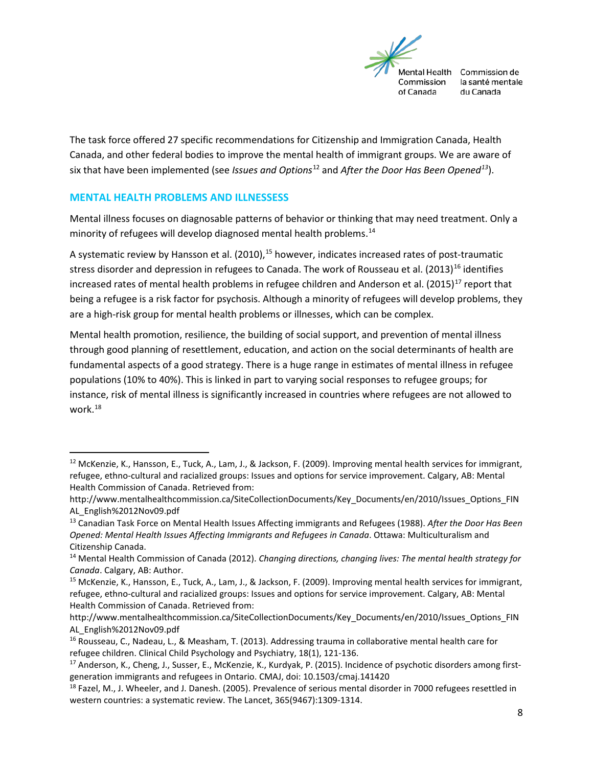

The task force offered 27 specific recommendations for Citizenship and Immigration Canada, Health Canada, and other federal bodies to improve the mental health of immigrant groups. We are aware of six that have been implemented (see *Issues and Options*[12](#page-7-1) and *After the Door Has Been Opened[13](#page-7-2)*).

### <span id="page-7-0"></span>**MENTAL HEALTH PROBLEMS AND ILLNESSESS**

Mental illness focuses on diagnosable patterns of behavior or thinking that may need treatment. Only a minority of refugees will develop diagnosed mental health problems. [14](#page-7-3)

A systematic review by Hansson et al. (2010),<sup>[15](#page-7-4)</sup> however, indicates increased rates of post-traumatic stress disorder and depression in refugees to Canada. The work of Rousseau et al. (2013)<sup>[16](#page-7-5)</sup> identifies increased rates of mental health problems in refugee children and Anderson et al. (2015)<sup>[17](#page-7-6)</sup> report that being a refugee is a risk factor for psychosis. Although a minority of refugees will develop problems, they are a high-risk group for mental health problems or illnesses, which can be complex.

Mental health promotion, resilience, the building of social support, and prevention of mental illness through good planning of resettlement, education, and action on the social determinants of health are fundamental aspects of a good strategy. There is a huge range in estimates of mental illness in refugee populations (10% to 40%). This is linked in part to varying social responses to refugee groups; for instance, risk of mental illness is significantly increased in countries where refugees are not allowed to work. [18](#page-7-7)

<span id="page-7-1"></span><sup>&</sup>lt;sup>12</sup> McKenzie, K., Hansson, E., Tuck, A., Lam, J., & Jackson, F. (2009). Improving mental health services for immigrant, refugee, ethno-cultural and racialized groups: Issues and options for service improvement. Calgary, AB: Mental Health Commission of Canada. Retrieved from:

http://www.mentalhealthcommission.ca/SiteCollectionDocuments/Key\_Documents/en/2010/Issues\_Options\_FIN AL\_English%2012Nov09.pdf

<span id="page-7-2"></span><sup>13</sup> Canadian Task Force on Mental Health Issues Affecting immigrants and Refugees (1988). *After the Door Has Been Opened: Mental Health Issues Affecting Immigrants and Refugees in Canada*. Ottawa: Multiculturalism and Citizenship Canada.

<span id="page-7-3"></span><sup>14</sup> Mental Health Commission of Canada (2012). *Changing directions, changing lives: The mental health strategy for Canada*. Calgary, AB: Author.

<span id="page-7-4"></span><sup>15</sup> McKenzie, K., Hansson, E., Tuck, A., Lam, J., & Jackson, F. (2009). Improving mental health services for immigrant, refugee, ethno-cultural and racialized groups: Issues and options for service improvement. Calgary, AB: Mental Health Commission of Canada. Retrieved from:

http://www.mentalhealthcommission.ca/SiteCollectionDocuments/Key\_Documents/en/2010/Issues\_Options\_FIN AL\_English%2012Nov09.pdf

<span id="page-7-5"></span><sup>16</sup> Rousseau, C., Nadeau, L., & Measham, T. (2013). Addressing trauma in collaborative mental health care for refugee children. Clinical Child Psychology and Psychiatry, 18(1), 121-136.

<span id="page-7-6"></span><sup>&</sup>lt;sup>17</sup> Anderson, K., Cheng, J., Susser, E., McKenzie, K., Kurdyak, P. (2015). Incidence of psychotic disorders among firstgeneration immigrants and refugees in Ontario. CMAJ, doi: 10.1503/cmaj.141420

<span id="page-7-7"></span> $^{18}$  Fazel, M., J. Wheeler, and J. Danesh. (2005). Prevalence of serious mental disorder in 7000 refugees resettled in western countries: a systematic review. The Lancet, 365(9467):1309-1314.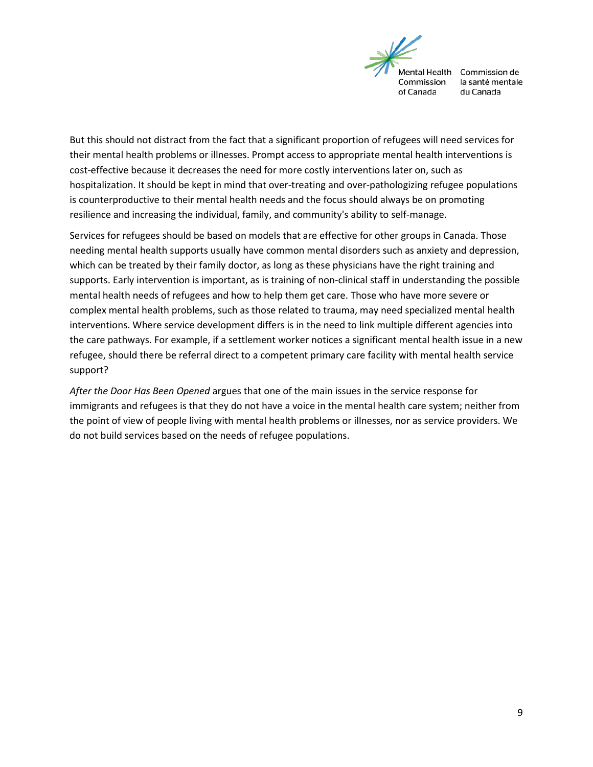

But this should not distract from the fact that a significant proportion of refugees will need services for their mental health problems or illnesses. Prompt access to appropriate mental health interventions is cost-effective because it decreases the need for more costly interventions later on, such as hospitalization. It should be kept in mind that over-treating and over-pathologizing refugee populations is counterproductive to their mental health needs and the focus should always be on promoting resilience and increasing the individual, family, and community's ability to self-manage.

Services for refugees should be based on models that are effective for other groups in Canada. Those needing mental health supports usually have common mental disorders such as anxiety and depression, which can be treated by their family doctor, as long as these physicians have the right training and supports. Early intervention is important, as is training of non-clinical staff in understanding the possible mental health needs of refugees and how to help them get care. Those who have more severe or complex mental health problems, such as those related to trauma, may need specialized mental health interventions. Where service development differs is in the need to link multiple different agencies into the care pathways. For example, if a settlement worker notices a significant mental health issue in a new refugee, should there be referral direct to a competent primary care facility with mental health service support?

*After the Door Has Been Opened* argues that one of the main issues in the service response for immigrants and refugees is that they do not have a voice in the mental health care system; neither from the point of view of people living with mental health problems or illnesses, nor as service providers. We do not build services based on the needs of refugee populations.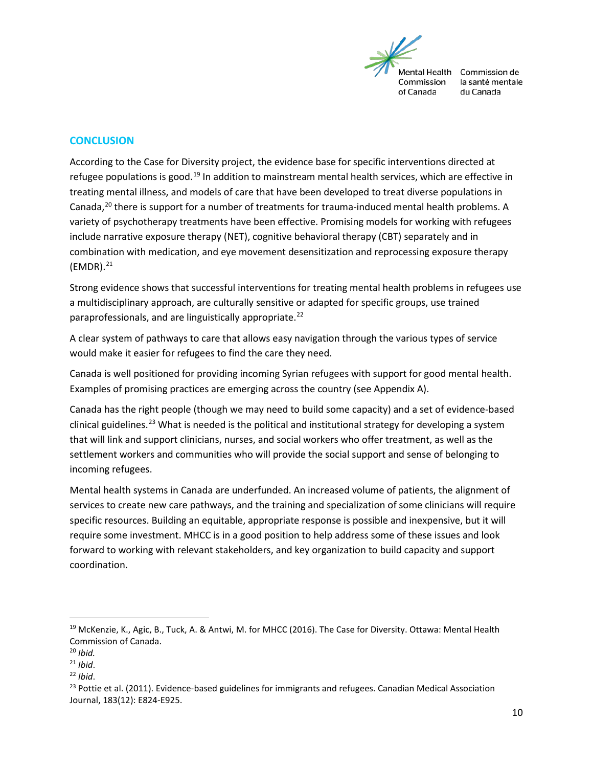

#### <span id="page-9-0"></span>**CONCLUSION**

According to the Case for Diversity project, the evidence base for specific interventions directed at refugee populations is good.<sup>[19](#page-9-1)</sup> In addition to mainstream mental health services, which are effective in treating mental illness, and models of care that have been developed to treat diverse populations in Canada,<sup>[20](#page-9-2)</sup> there is support for a number of treatments for trauma-induced mental health problems. A variety of psychotherapy treatments have been effective. Promising models for working with refugees include narrative exposure therapy (NET), cognitive behavioral therapy (CBT) separately and in combination with medication, and eye movement desensitization and reprocessing exposure therapy  $(EMDR).<sup>21</sup>$ 

Strong evidence shows that successful interventions for treating mental health problems in refugees use a multidisciplinary approach, are culturally sensitive or adapted for specific groups, use trained paraprofessionals, and are linguistically appropriate.<sup>[22](#page-9-4)</sup>

A clear system of pathways to care that allows easy navigation through the various types of service would make it easier for refugees to find the care they need.

Canada is well positioned for providing incoming Syrian refugees with support for good mental health. Examples of promising practices are emerging across the country (see Appendix A).

Canada has the right people (though we may need to build some capacity) and a set of evidence-based clinical guidelines.<sup>[23](#page-9-5)</sup> What is needed is the political and institutional strategy for developing a system that will link and support clinicians, nurses, and social workers who offer treatment, as well as the settlement workers and communities who will provide the social support and sense of belonging to incoming refugees.

Mental health systems in Canada are underfunded. An increased volume of patients, the alignment of services to create new care pathways, and the training and specialization of some clinicians will require specific resources. Building an equitable, appropriate response is possible and inexpensive, but it will require some investment. MHCC is in a good position to help address some of these issues and look forward to working with relevant stakeholders, and key organization to build capacity and support coordination.

<span id="page-9-1"></span><sup>&</sup>lt;sup>19</sup> McKenzie, K., Agic, B., Tuck, A. & Antwi, M. for MHCC (2016). The Case for Diversity. Ottawa: Mental Health Commission of Canada.

<span id="page-9-2"></span><sup>20</sup> *Ibid.*

<span id="page-9-3"></span><sup>21</sup> *Ibid*.

<span id="page-9-4"></span><sup>22</sup> *Ibid*.

<span id="page-9-5"></span><sup>&</sup>lt;sup>23</sup> Pottie et al. (2011). Evidence-based guidelines for immigrants and refugees. Canadian Medical Association Journal, 183(12): E824-E925.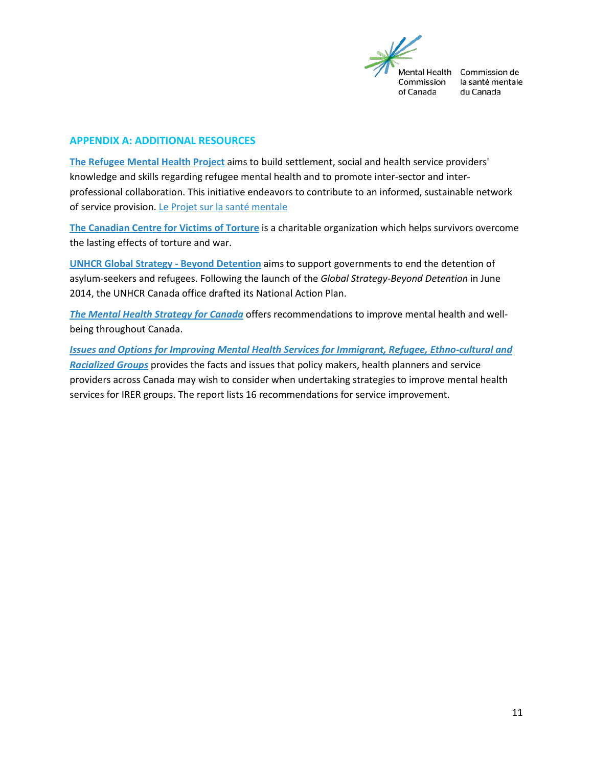

# <span id="page-10-0"></span>**APPENDIX A: ADDITIONAL RESOURCES**

**[The Refugee Mental Health Project](https://www.porticonetwork.ca/web/rmhp)** aims to build settlement, social and health service providers' knowledge and skills regarding refugee mental health and to promote inter-sector and interprofessional collaboration. This initiative endeavors to contribute to an informed, sustainable network of service provision. [Le Projet sur la santé mentale](https://www.porticonetwork.ca/web/psmr/home;jsessionid=280CF7FFCF4E31456702181CFF4AA7C3)

**[The Canadian Centre for Victims of Torture](http://www.ccvt.org/)** is a charitable organization which helps survivors overcome the lasting effects of torture and war.

**[UNHCR Global Strategy -](http://www.unhcr.org/5631eb5c6.html) Beyond Detention** aims to support governments to end the detention of asylum-seekers and refugees. Following the launch of the *Global Strategy-Beyond Detention* in June 2014, the UNHCR Canada office drafted its National Action Plan.

*[The Mental Health Strategy for Canada](http://strategy.mentalhealthcommission.ca/)* offers recommendations to improve mental health and wellbeing throughout Canada.

*[Issues and Options for Improving Mental Health Services for Immigrant, Refugee, Ethno-cultural and](http://www.mentalhealthcommission.ca/English/system/files/private/Diversity_Issues_Options_Report_ENG_0.pdf)  [Racialized Groups](http://www.mentalhealthcommission.ca/English/system/files/private/Diversity_Issues_Options_Report_ENG_0.pdf)* provides the facts and issues that policy makers, health planners and service providers across Canada may wish to consider when undertaking strategies to improve mental health services for IRER groups. The report lists 16 recommendations for service improvement.